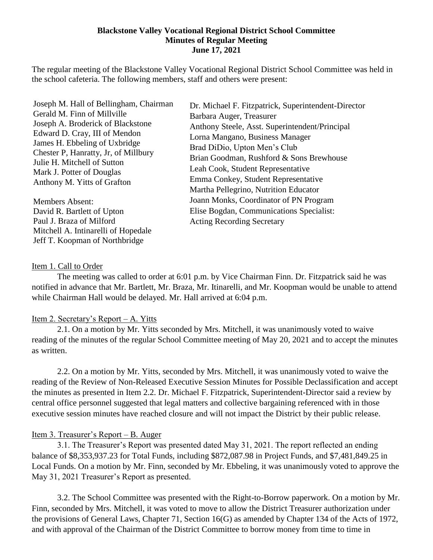### **Blackstone Valley Vocational Regional District School Committee Minutes of Regular Meeting June 17, 2021**

The regular meeting of the Blackstone Valley Vocational Regional District School Committee was held in the school cafeteria. The following members, staff and others were present:

Joseph M. Hall of Bellingham, Chairman Gerald M. Finn of Millville Joseph A. Broderick of Blackstone Edward D. Cray, III of Mendon James H. Ebbeling of Uxbridge Chester P, Hanratty, Jr, of Millbury Julie H. Mitchell of Sutton Mark J. Potter of Douglas Anthony M. Yitts of Grafton

Members Absent: David R. Bartlett of Upton Paul J. Braza of Milford Mitchell A. Intinarelli of Hopedale Jeff T. Koopman of Northbridge

Dr. Michael F. Fitzpatrick, Superintendent-Director Barbara Auger, Treasurer Anthony Steele, Asst. Superintendent/Principal Lorna Mangano, Business Manager Brad DiDio, Upton Men's Club Brian Goodman, Rushford & Sons Brewhouse Leah Cook, Student Representative Emma Conkey, Student Representative Martha Pellegrino, Nutrition Educator Joann Monks, Coordinator of PN Program Elise Bogdan, Communications Specialist: Acting Recording Secretary

### Item 1. Call to Order

The meeting was called to order at 6:01 p.m. by Vice Chairman Finn. Dr. Fitzpatrick said he was notified in advance that Mr. Bartlett, Mr. Braza, Mr. Itinarelli, and Mr. Koopman would be unable to attend while Chairman Hall would be delayed. Mr. Hall arrived at 6:04 p.m.

### Item 2. Secretary's Report – A. Yitts

2.1. On a motion by Mr. Yitts seconded by Mrs. Mitchell, it was unanimously voted to waive reading of the minutes of the regular School Committee meeting of May 20, 2021 and to accept the minutes as written.

2.2. On a motion by Mr. Yitts, seconded by Mrs. Mitchell, it was unanimously voted to waive the reading of the Review of Non-Released Executive Session Minutes for Possible Declassification and accept the minutes as presented in Item 2.2. Dr. Michael F. Fitzpatrick, Superintendent-Director said a review by central office personnel suggested that legal matters and collective bargaining referenced with in those executive session minutes have reached closure and will not impact the District by their public release.

### Item 3. Treasurer's Report – B. Auger

3.1. The Treasurer's Report was presented dated May 31, 2021. The report reflected an ending balance of \$8,353,937.23 for Total Funds, including \$872,087.98 in Project Funds, and \$7,481,849.25 in Local Funds. On a motion by Mr. Finn, seconded by Mr. Ebbeling, it was unanimously voted to approve the May 31, 2021 Treasurer's Report as presented.

3.2. The School Committee was presented with the Right-to-Borrow paperwork. On a motion by Mr. Finn, seconded by Mrs. Mitchell, it was voted to move to allow the District Treasurer authorization under the provisions of General Laws, Chapter 71, Section 16(G) as amended by Chapter 134 of the Acts of 1972, and with approval of the Chairman of the District Committee to borrow money from time to time in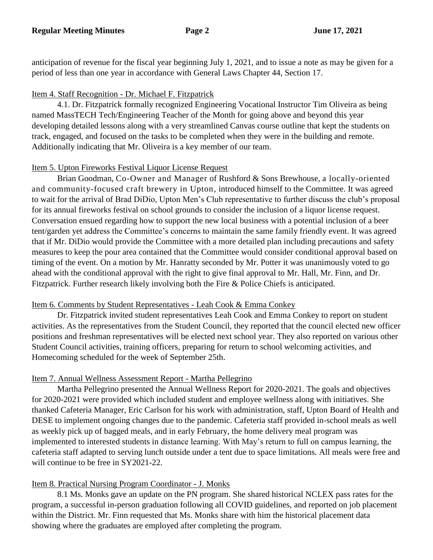anticipation of revenue for the fiscal year beginning July 1, 2021, and to issue a note as may be given for a period of less than one year in accordance with General Laws Chapter 44, Section 17.

### Item 4. Staff Recognition - Dr. Michael F. Fitzpatrick

4.1. Dr. Fitzpatrick formally recognized Engineering Vocational Instructor Tim Oliveira as being named MassTECH Tech/Engineering Teacher of the Month for going above and beyond this year developing detailed lessons along with a very streamlined Canvas course outline that kept the students on track, engaged, and focused on the tasks to be completed when they were in the building and remote. Additionally indicating that Mr. Oliveira is a key member of our team.

### Item 5. Upton Fireworks Festival Liquor License Request

Brian Goodman, Co-Owner and Manager of Rushford & Sons Brewhouse, a locally-oriented and community-focused craft brewery in Upton, introduced himself to the Committee. It was agreed to wait for the arrival of Brad DiDio, Upton Men's Club representative to further discuss the club's proposal for its annual fireworks festival on school grounds to consider the inclusion of a liquor license request. Conversation ensued regarding how to support the new local business with a potential inclusion of a beer tent/garden yet address the Committee's concerns to maintain the same family friendly event. It was agreed that if Mr. DiDio would provide the Committee with a more detailed plan including precautions and safety measures to keep the pour area contained that the Committee would consider conditional approval based on timing of the event. On a motion by Mr. Hanratty seconded by Mr. Potter it was unanimously voted to go ahead with the conditional approval with the right to give final approval to Mr. Hall, Mr. Finn, and Dr. Fitzpatrick. Further research likely involving both the Fire & Police Chiefs is anticipated.

### Item 6. Comments by Student Representatives - Leah Cook & Emma Conkey

Dr. Fitzpatrick invited student representatives Leah Cook and Emma Conkey to report on student activities. As the representatives from the Student Council, they reported that the council elected new officer positions and freshman representatives will be elected next school year. They also reported on various other Student Council activities, training officers, preparing for return to school welcoming activities, and Homecoming scheduled for the week of September 25th.

### Item 7. Annual Wellness Assessment Report - Martha Pellegrino

Martha Pellegrino presented the Annual Wellness Report for 2020-2021. The goals and objectives for 2020-2021 were provided which included student and employee wellness along with initiatives. She thanked Cafeteria Manager, Eric Carlson for his work with administration, staff, Upton Board of Health and DESE to implement ongoing changes due to the pandemic. Cafeteria staff provided in-school meals as well as weekly pick up of bagged meals, and in early February, the home delivery meal program was implemented to interested students in distance learning. With May's return to full on campus learning, the cafeteria staff adapted to serving lunch outside under a tent due to space limitations. All meals were free and will continue to be free in SY2021-22.

### Item 8. Practical Nursing Program Coordinator - J. Monks

8.1 Ms. Monks gave an update on the PN program. She shared historical NCLEX pass rates for the program, a successful in-person graduation following all COVID guidelines, and reported on job placement within the District. Mr. Finn requested that Ms. Monks share with him the historical placement data showing where the graduates are employed after completing the program.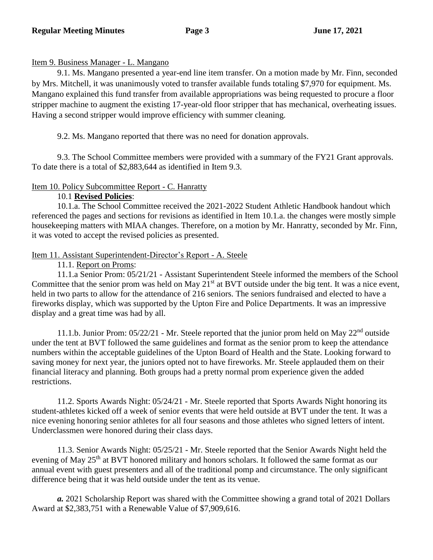## Item 9. Business Manager - L. Mangano

9.1. Ms. Mangano presented a year-end line item transfer. On a motion made by Mr. Finn, seconded by Mrs. Mitchell, it was unanimously voted to transfer available funds totaling \$7,970 for equipment. Ms. Mangano explained this fund transfer from available appropriations was being requested to procure a floor stripper machine to augment the existing 17-year-old floor stripper that has mechanical, overheating issues. Having a second stripper would improve efficiency with summer cleaning.

9.2. Ms. Mangano reported that there was no need for donation approvals.

9.3. The School Committee members were provided with a summary of the FY21 Grant approvals. To date there is a total of \$2,883,644 as identified in Item 9.3.

# Item 10. Policy Subcommittee Report - C. Hanratty

# 10.1 **Revised Policies**:

10.1.a. The School Committee received the 2021-2022 Student Athletic Handbook handout which referenced the pages and sections for revisions as identified in Item 10.1.a. the changes were mostly simple housekeeping matters with MIAA changes. Therefore, on a motion by Mr. Hanratty, seconded by Mr. Finn, it was voted to accept the revised policies as presented.

# Item 11. Assistant Superintendent-Director's Report - A. Steele

11.1. Report on Proms:

11.1.a Senior Prom: 05/21/21 - Assistant Superintendent Steele informed the members of the School Committee that the senior prom was held on May  $21<sup>st</sup>$  at BVT outside under the big tent. It was a nice event, held in two parts to allow for the attendance of 216 seniors. The seniors fundraised and elected to have a fireworks display, which was supported by the Upton Fire and Police Departments. It was an impressive display and a great time was had by all.

11.1.b. Junior Prom:  $05/22/21$  - Mr. Steele reported that the junior prom held on May  $22<sup>nd</sup>$  outside under the tent at BVT followed the same guidelines and format as the senior prom to keep the attendance numbers within the acceptable guidelines of the Upton Board of Health and the State. Looking forward to saving money for next year, the juniors opted not to have fireworks. Mr. Steele applauded them on their financial literacy and planning. Both groups had a pretty normal prom experience given the added restrictions.

11.2. Sports Awards Night: 05/24/21 - Mr. Steele reported that Sports Awards Night honoring its student-athletes kicked off a week of senior events that were held outside at BVT under the tent. It was a nice evening honoring senior athletes for all four seasons and those athletes who signed letters of intent. Underclassmen were honored during their class days.

11.3. Senior Awards Night: 05/25/21 - Mr. Steele reported that the Senior Awards Night held the evening of May 25<sup>th</sup> at BVT honored military and honors scholars. It followed the same format as our annual event with guest presenters and all of the traditional pomp and circumstance. The only significant difference being that it was held outside under the tent as its venue.

*a.* 2021 Scholarship Report was shared with the Committee showing a grand total of 2021 Dollars Award at \$2,383,751 with a Renewable Value of \$7,909,616.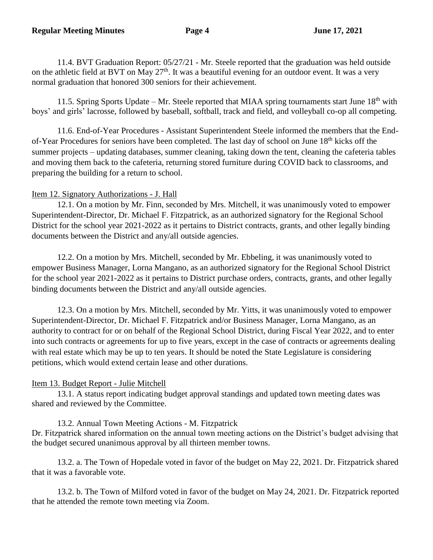11.4. BVT Graduation Report: 05/27/21 - Mr. Steele reported that the graduation was held outside on the athletic field at BVT on May  $27<sup>th</sup>$ . It was a beautiful evening for an outdoor event. It was a very normal graduation that honored 300 seniors for their achievement.

11.5. Spring Sports Update – Mr. Steele reported that MIAA spring tournaments start June 18<sup>th</sup> with boys' and girls' lacrosse, followed by baseball, softball, track and field, and volleyball co-op all competing.

11.6. End-of-Year Procedures - Assistant Superintendent Steele informed the members that the Endof-Year Procedures for seniors have been completed. The last day of school on June 18<sup>th</sup> kicks off the summer projects – updating databases, summer cleaning, taking down the tent, cleaning the cafeteria tables and moving them back to the cafeteria, returning stored furniture during COVID back to classrooms, and preparing the building for a return to school.

## Item 12. Signatory Authorizations - J. Hall

12.1. On a motion by Mr. Finn, seconded by Mrs. Mitchell, it was unanimously voted to empower Superintendent-Director, Dr. Michael F. Fitzpatrick, as an authorized signatory for the Regional School District for the school year 2021-2022 as it pertains to District contracts, grants, and other legally binding documents between the District and any/all outside agencies.

12.2. On a motion by Mrs. Mitchell, seconded by Mr. Ebbeling, it was unanimously voted to empower Business Manager, Lorna Mangano, as an authorized signatory for the Regional School District for the school year 2021-2022 as it pertains to District purchase orders, contracts, grants, and other legally binding documents between the District and any/all outside agencies.

12.3. On a motion by Mrs. Mitchell, seconded by Mr. Yitts, it was unanimously voted to empower Superintendent-Director, Dr. Michael F. Fitzpatrick and/or Business Manager, Lorna Mangano, as an authority to contract for or on behalf of the Regional School District, during Fiscal Year 2022, and to enter into such contracts or agreements for up to five years, except in the case of contracts or agreements dealing with real estate which may be up to ten years. It should be noted the State Legislature is considering petitions, which would extend certain lease and other durations.

# Item 13. Budget Report - Julie Mitchell

13.1. A status report indicating budget approval standings and updated town meeting dates was shared and reviewed by the Committee.

# 13.2. Annual Town Meeting Actions - M. Fitzpatrick

Dr. Fitzpatrick shared information on the annual town meeting actions on the District's budget advising that the budget secured unanimous approval by all thirteen member towns.

13.2. a. The Town of Hopedale voted in favor of the budget on May 22, 2021. Dr. Fitzpatrick shared that it was a favorable vote.

13.2. b. The Town of Milford voted in favor of the budget on May 24, 2021. Dr. Fitzpatrick reported that he attended the remote town meeting via Zoom.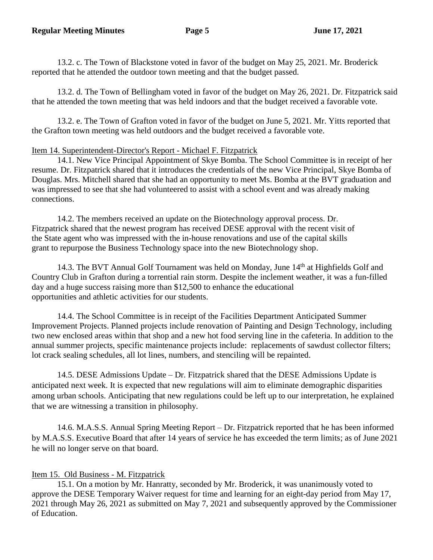13.2. c. The Town of Blackstone voted in favor of the budget on May 25, 2021. Mr. Broderick reported that he attended the outdoor town meeting and that the budget passed.

13.2. d. The Town of Bellingham voted in favor of the budget on May 26, 2021. Dr. Fitzpatrick said that he attended the town meeting that was held indoors and that the budget received a favorable vote.

13.2. e. The Town of Grafton voted in favor of the budget on June 5, 2021. Mr. Yitts reported that the Grafton town meeting was held outdoors and the budget received a favorable vote.

## Item 14. Superintendent-Director's Report - Michael F. Fitzpatrick

14.1. New Vice Principal Appointment of Skye Bomba. The School Committee is in receipt of her resume. Dr. Fitzpatrick shared that it introduces the credentials of the new Vice Principal, Skye Bomba of Douglas. Mrs. Mitchell shared that she had an opportunity to meet Ms. Bomba at the BVT graduation and was impressed to see that she had volunteered to assist with a school event and was already making connections.

 14.2. The members received an update on the Biotechnology approval process. Dr. Fitzpatrick shared that the newest program has received DESE approval with the recent visit of the State agent who was impressed with the in-house renovations and use of the capital skills grant to repurpose the Business Technology space into the new Biotechnology shop.

14.3. The BVT Annual Golf Tournament was held on Monday, June 14<sup>th</sup> at Highfields Golf and Country Club in Grafton during a torrential rain storm. Despite the inclement weather, it was a fun-filled day and a huge success raising more than \$12,500 to enhance the educational opportunities and athletic activities for our students.

14.4. The School Committee is in receipt of the Facilities Department Anticipated Summer Improvement Projects. Planned projects include renovation of Painting and Design Technology, including two new enclosed areas within that shop and a new hot food serving line in the cafeteria. In addition to the annual summer projects, specific maintenance projects include: replacements of sawdust collector filters; lot crack sealing schedules, all lot lines, numbers, and stenciling will be repainted.

 14.5. DESE Admissions Update – Dr. Fitzpatrick shared that the DESE Admissions Update is anticipated next week. It is expected that new regulations will aim to eliminate demographic disparities among urban schools. Anticipating that new regulations could be left up to our interpretation, he explained that we are witnessing a transition in philosophy.

 14.6. M.A.S.S. Annual Spring Meeting Report – Dr. Fitzpatrick reported that he has been informed by M.A.S.S. Executive Board that after 14 years of service he has exceeded the term limits; as of June 2021 he will no longer serve on that board.

# Item 15. Old Business - M. Fitzpatrick

15.1. On a motion by Mr. Hanratty, seconded by Mr. Broderick, it was unanimously voted to approve the DESE Temporary Waiver request for time and learning for an eight-day period from May 17, 2021 through May 26, 2021 as submitted on May 7, 2021 and subsequently approved by the Commissioner of Education.